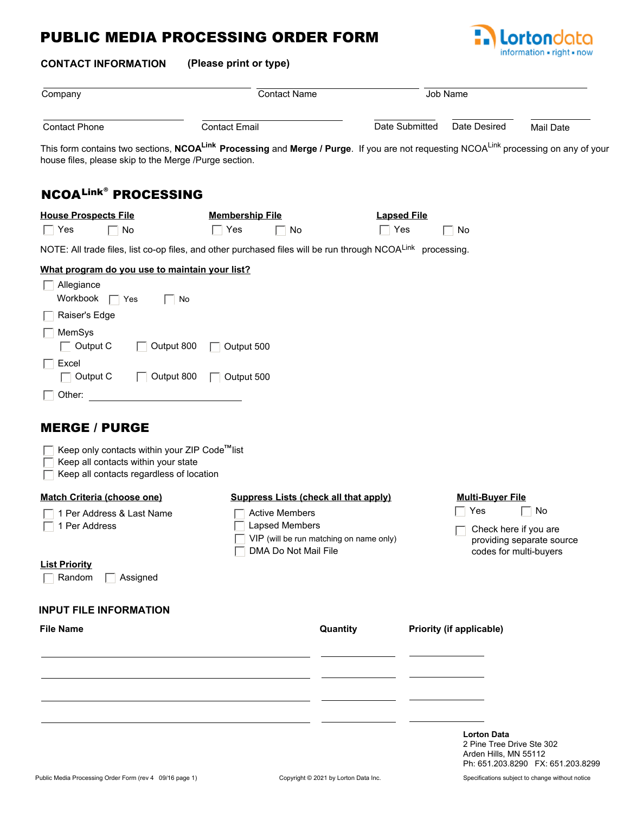## PUBLIC MEDIA PROCESSING ORDER FORM



| <b>CONTACT INFORMATION</b>                                                                                                                                                                                            | (Please print or type)                                                                                       |                    |                                                                    |                                                                          |           |
|-----------------------------------------------------------------------------------------------------------------------------------------------------------------------------------------------------------------------|--------------------------------------------------------------------------------------------------------------|--------------------|--------------------------------------------------------------------|--------------------------------------------------------------------------|-----------|
| Company                                                                                                                                                                                                               | <b>Contact Name</b>                                                                                          |                    | Job Name                                                           |                                                                          |           |
| <b>Contact Phone</b>                                                                                                                                                                                                  | <b>Contact Email</b>                                                                                         |                    | Date Submitted                                                     | Date Desired                                                             | Mail Date |
| This form contains two sections, NCOA <sup>Link</sup> Processing and Merge / Purge. If you are not requesting NCOA <sup>Link</sup> processing on any of your<br>house files, please skip to the Merge /Purge section. |                                                                                                              |                    |                                                                    |                                                                          |           |
| <b>NCOALINK® PROCESSING</b>                                                                                                                                                                                           |                                                                                                              |                    |                                                                    |                                                                          |           |
| <b>House Prospects File</b>                                                                                                                                                                                           | <b>Membership File</b>                                                                                       | <b>Lapsed File</b> |                                                                    |                                                                          |           |
| $\Box$ Yes<br>No                                                                                                                                                                                                      | $\Box$ Yes<br>No                                                                                             | $\Box$ Yes         |                                                                    | No                                                                       |           |
| NOTE: All trade files, list co-op files, and other purchased files will be run through NCOALink processing.                                                                                                           |                                                                                                              |                    |                                                                    |                                                                          |           |
| $\Box$ Allegiance<br>Workbook<br>$\blacksquare$ Yes<br>Raiser's Edge                                                                                                                                                  | No                                                                                                           |                    |                                                                    |                                                                          |           |
| MemSys<br>$\Box$ Output C<br>Output 800                                                                                                                                                                               | $\Box$ Output 500                                                                                            |                    |                                                                    |                                                                          |           |
| $\Box$ Excel<br>$\Box$ Output C<br>Output 800                                                                                                                                                                         | $\Box$ Output 500                                                                                            |                    |                                                                    |                                                                          |           |
| $\Box$ Other:                                                                                                                                                                                                         |                                                                                                              |                    |                                                                    |                                                                          |           |
| <b>MERGE / PURGE</b>                                                                                                                                                                                                  |                                                                                                              |                    |                                                                    |                                                                          |           |
| $\overline{\phantom{x}}$ Keep only contacts within your ZIP Code <sup>rm</sup> list<br>Keep all contacts within your state<br>Keep all contacts regardless of location                                                |                                                                                                              |                    |                                                                    |                                                                          |           |
| <b>Match Criteria (choose one)</b>                                                                                                                                                                                    | <b>Suppress Lists (check all that apply)</b>                                                                 |                    |                                                                    | <b>Multi-Buyer File</b>                                                  |           |
| □ 1 Per Address & Last Name<br>$\Box$ 1 Per Address                                                                                                                                                                   | <b>■ Active Members</b><br>Lapsed Members<br>VIP (will be run matching on name only)<br>DMA Do Not Mail File |                    | $\sqsupset$ Yes<br>Check here if you are<br>codes for multi-buyers | No<br>providing separate source                                          |           |
| <b>List Priority</b><br>$\Box$ Random<br>Assigned                                                                                                                                                                     |                                                                                                              |                    |                                                                    |                                                                          |           |
| <b>INPUT FILE INFORMATION</b>                                                                                                                                                                                         |                                                                                                              |                    |                                                                    |                                                                          |           |
| <b>File Name</b>                                                                                                                                                                                                      |                                                                                                              | Quantity           |                                                                    | Priority (if applicable)                                                 |           |
|                                                                                                                                                                                                                       |                                                                                                              |                    |                                                                    |                                                                          |           |
|                                                                                                                                                                                                                       |                                                                                                              |                    |                                                                    |                                                                          |           |
|                                                                                                                                                                                                                       |                                                                                                              |                    |                                                                    |                                                                          |           |
|                                                                                                                                                                                                                       |                                                                                                              |                    |                                                                    | <b>Lorton Data</b><br>2 Pine Tree Drive Ste 302<br>Arden Hills, MN 55112 |           |

Ph: 651.203.8290 FX: 651.203.8299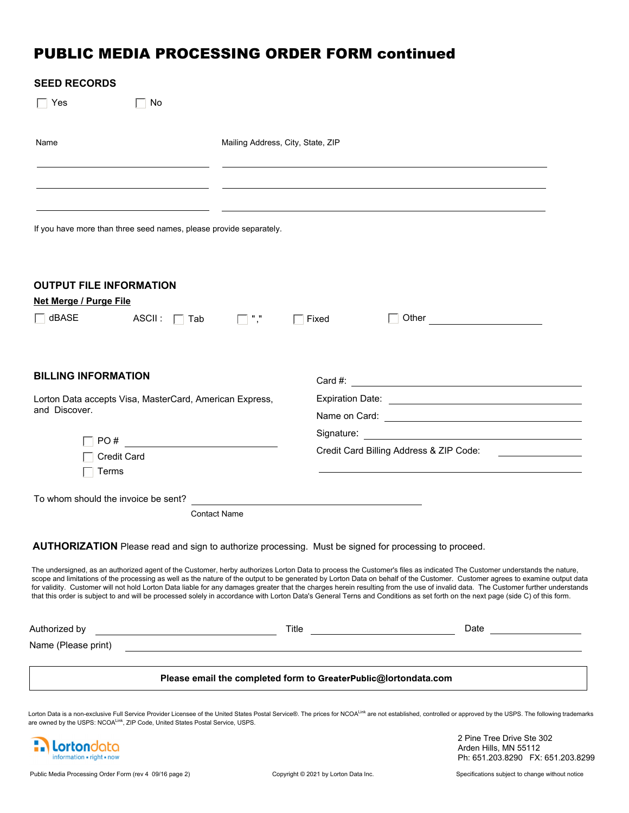## PUBLIC MEDIA PROCESSING ORDER FORM continued

| <b>SEED RECORDS</b>                                                                                          |                                                                 |                                                                                                                                                                                                                                                                                                                                                                                                                                                                                                                                             |
|--------------------------------------------------------------------------------------------------------------|-----------------------------------------------------------------|---------------------------------------------------------------------------------------------------------------------------------------------------------------------------------------------------------------------------------------------------------------------------------------------------------------------------------------------------------------------------------------------------------------------------------------------------------------------------------------------------------------------------------------------|
| $\Box$ No<br>Yes                                                                                             |                                                                 |                                                                                                                                                                                                                                                                                                                                                                                                                                                                                                                                             |
| Name                                                                                                         | Mailing Address, City, State, ZIP                               |                                                                                                                                                                                                                                                                                                                                                                                                                                                                                                                                             |
|                                                                                                              |                                                                 |                                                                                                                                                                                                                                                                                                                                                                                                                                                                                                                                             |
| If you have more than three seed names, please provide separately.                                           |                                                                 |                                                                                                                                                                                                                                                                                                                                                                                                                                                                                                                                             |
| <b>OUTPUT FILE INFORMATION</b><br><b>Net Merge / Purge File</b>                                              |                                                                 |                                                                                                                                                                                                                                                                                                                                                                                                                                                                                                                                             |
| $\Box$ dBASE<br>$ASCII: \Box$ Tab                                                                            | $\Box$ ","<br>Fixed                                             |                                                                                                                                                                                                                                                                                                                                                                                                                                                                                                                                             |
| <b>BILLING INFORMATION</b>                                                                                   |                                                                 |                                                                                                                                                                                                                                                                                                                                                                                                                                                                                                                                             |
| Lorton Data accepts Visa, MasterCard, American Express,                                                      |                                                                 |                                                                                                                                                                                                                                                                                                                                                                                                                                                                                                                                             |
| and Discover.                                                                                                |                                                                 |                                                                                                                                                                                                                                                                                                                                                                                                                                                                                                                                             |
|                                                                                                              |                                                                 |                                                                                                                                                                                                                                                                                                                                                                                                                                                                                                                                             |
| <b>Credit Card</b>                                                                                           |                                                                 | Credit Card Billing Address & ZIP Code: [19] Dredit Card Billing Address & ZIP Code:                                                                                                                                                                                                                                                                                                                                                                                                                                                        |
| Terms                                                                                                        |                                                                 |                                                                                                                                                                                                                                                                                                                                                                                                                                                                                                                                             |
| To whom should the invoice be sent?                                                                          |                                                                 |                                                                                                                                                                                                                                                                                                                                                                                                                                                                                                                                             |
| <b>Contact Name</b>                                                                                          |                                                                 |                                                                                                                                                                                                                                                                                                                                                                                                                                                                                                                                             |
| <b>AUTHORIZATION</b> Please read and sign to authorize processing. Must be signed for processing to proceed. |                                                                 | The undersigned, as an authorized agent of the Customer, herby authorizes Lorton Data to process the Customer's files as indicated The Customer understands the nature,<br>scope and limitations of the processing as well as the nature of the output to be generated by Lorton Data on behalf of the Customer. Customer agrees to examine output data<br>for validity. Customer will not hold Lorton Data liable for any damages greater that the charges herein resulting from the use of invalid data. The Customer further understands |
|                                                                                                              |                                                                 | that this order is subject to and will be processed solely in accordance with Lorton Data's General Terns and Conditions as set forth on the next page (side C) of this form.                                                                                                                                                                                                                                                                                                                                                               |
| Authorized by<br><u> 1980 - Johann Barn, fransk politik (d. 1980)</u>                                        |                                                                 |                                                                                                                                                                                                                                                                                                                                                                                                                                                                                                                                             |
| Name (Please print)                                                                                          |                                                                 | <u> 1989 - Andrea Andrew Maria (h. 1989).</u>                                                                                                                                                                                                                                                                                                                                                                                                                                                                                               |
|                                                                                                              | Please email the completed form to GreaterPublic@lortondata.com |                                                                                                                                                                                                                                                                                                                                                                                                                                                                                                                                             |
|                                                                                                              |                                                                 | Lorton Data is a non-exclusive Full Service Provider Licensee of the United States Postal Service®. The prices for NCOA <sup>Link</sup> are not established, controlled or approved by the USPS. The following trademarks                                                                                                                                                                                                                                                                                                                   |
| are owned by the USPS: NCOA <sup>Link</sup> , ZIP Code, United States Postal Service, USPS.                  |                                                                 | 2 Pine Tree Drive Ste 302                                                                                                                                                                                                                                                                                                                                                                                                                                                                                                                   |

**Mortondata** information - right - now

Arden Hills, MN 55112